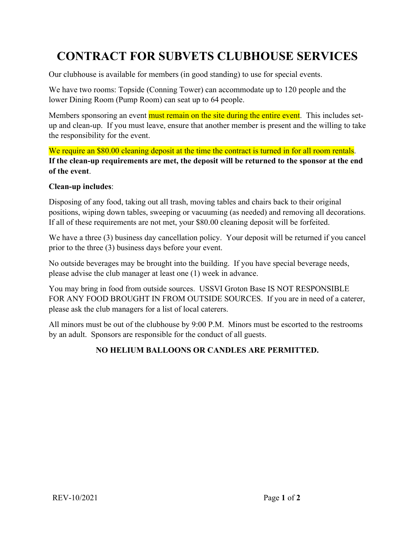## **CONTRACT FOR SUBVETS CLUBHOUSE SERVICES**

Our clubhouse is available for members (in good standing) to use for special events.

We have two rooms: Topside (Conning Tower) can accommodate up to 120 people and the lower Dining Room (Pump Room) can seat up to 64 people.

Members sponsoring an event must remain on the site during the entire event. This includes setup and clean-up. If you must leave, ensure that another member is present and the willing to take the responsibility for the event.

We require an \$80.00 cleaning deposit at the time the contract is turned in for all room rentals. **If the clean-up requirements are met, the deposit will be returned to the sponsor at the end of the event**.

## **Clean-up includes**:

Disposing of any food, taking out all trash, moving tables and chairs back to their original positions, wiping down tables, sweeping or vacuuming (as needed) and removing all decorations. If all of these requirements are not met, your \$80.00 cleaning deposit will be forfeited.

We have a three (3) business day cancellation policy. Your deposit will be returned if you cancel prior to the three (3) business days before your event.

No outside beverages may be brought into the building. If you have special beverage needs, please advise the club manager at least one (1) week in advance.

You may bring in food from outside sources. USSVI Groton Base IS NOT RESPONSIBLE FOR ANY FOOD BROUGHT IN FROM OUTSIDE SOURCES. If you are in need of a caterer, please ask the club managers for a list of local caterers.

All minors must be out of the clubhouse by 9:00 P.M. Minors must be escorted to the restrooms by an adult. Sponsors are responsible for the conduct of all guests.

## **NO HELIUM BALLOONS OR CANDLES ARE PERMITTED.**